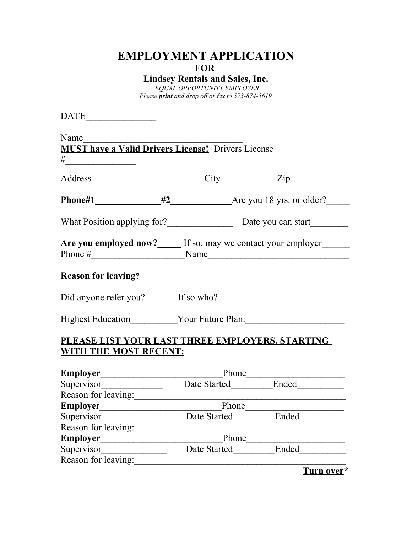# **EMPLOYMENT APPLICATION FOR**

**Lindsey Rentals and Sales, Inc.**

*EQUAL OPPORTUNITY EMPLOYER Please print and drop off or fax to 573-874-5619*

 $\begin{tabular}{|c|c|c|} \hline \multicolumn{3}{|c|}{\textbf{DATE}} \end{tabular}$ 

| Name $\frac{1}{\sqrt{1-\frac{1}{2}}\cdot\frac{1}{\sqrt{1-\frac{1}{2}}}}$               |                                                                 |                                                     |
|----------------------------------------------------------------------------------------|-----------------------------------------------------------------|-----------------------------------------------------|
| <b>MUST have a Valid Drivers License!</b> Drivers License                              |                                                                 |                                                     |
| #______________________                                                                |                                                                 |                                                     |
|                                                                                        |                                                                 |                                                     |
|                                                                                        |                                                                 |                                                     |
|                                                                                        |                                                                 |                                                     |
| Are you employed now?_____ If so, may we contact your employer_____<br>Phone $\#$ Name |                                                                 |                                                     |
|                                                                                        |                                                                 |                                                     |
|                                                                                        |                                                                 |                                                     |
| Highest Education ___________Your Future Plan: _________________________________       |                                                                 |                                                     |
| <u>PLEASE LIST YOUR LAST THREE EMPLOYERS, STARTING</u>                                 |                                                                 |                                                     |
| <b>WITH THE MOST RECENT:</b>                                                           |                                                                 |                                                     |
|                                                                                        |                                                                 |                                                     |
|                                                                                        | Employer<br>Supervisor<br>Date Started<br>Date Started<br>Ended |                                                     |
|                                                                                        |                                                                 |                                                     |
| Reason for leaving:                                                                    |                                                                 | <u> 1989 - Johann Barbara, martin amerikan basa</u> |
|                                                                                        |                                                                 |                                                     |
|                                                                                        |                                                                 |                                                     |
|                                                                                        |                                                                 |                                                     |
|                                                                                        | Reason for leaving: Phone Phone                                 |                                                     |
| Supervisor                                                                             |                                                                 | Date Started Ended                                  |
| Reason for leaving:                                                                    |                                                                 |                                                     |

**Turn over\***